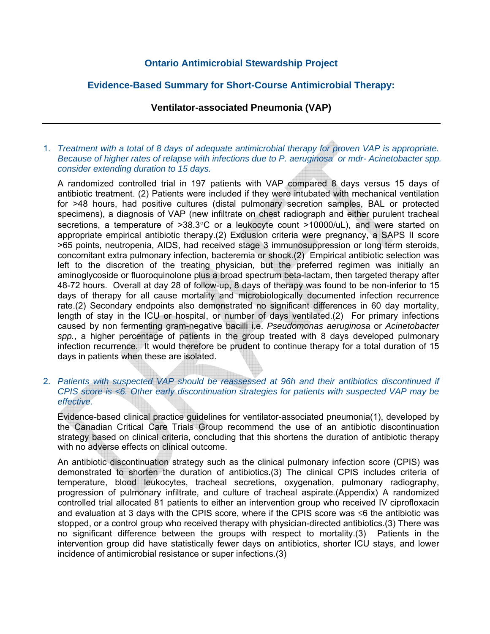# **Ontario Antimicrobial Stewardship Project**

# **Evidence-Based Summary for Short-Course Antimicrobial Therapy:**

### **Ventilator-associated Pneumonia (VAP)**

#### 1. *Treatment with a total of 8 days of adequate antimicrobial therapy for proven VAP is appropriate. Because of higher rates of relapse with infections due to P. aeruginosa or mdr- Acinetobacter spp. consider extending duration to 15 days.*

A randomized controlled trial in 197 patients with VAP compared 8 days versus 15 days of antibiotic treatment. (2) Patients were included if they were intubated with mechanical ventilation for >48 hours, had positive cultures (distal pulmonary secretion samples, BAL or protected specimens), a diagnosis of VAP (new infiltrate on chest radiograph and either purulent tracheal secretions, a temperature of >38.3°C or a leukocyte count >10000/uL), and were started on appropriate empirical antibiotic therapy.(2) Exclusion criteria were pregnancy, a SAPS II score >65 points, neutropenia, AIDS, had received stage 3 immunosuppression or long term steroids, concomitant extra pulmonary infection, bacteremia or shock.(2) Empirical antibiotic selection was left to the discretion of the treating physician, but the preferred regimen was initially an aminoglycoside or fluoroquinolone plus a broad spectrum beta-lactam, then targeted therapy after 48-72 hours. Overall at day 28 of follow-up, 8 days of therapy was found to be non-inferior to 15 days of therapy for all cause mortality and microbiologically documented infection recurrence rate.(2) Secondary endpoints also demonstrated no significant differences in 60 day mortality, length of stay in the ICU or hospital, or number of days ventilated.(2) For primary infections caused by non fermenting gram-negative bacilli i.e. *Pseudomonas aeruginosa* or *Acinetobacter spp.*, a higher percentage of patients in the group treated with 8 days developed pulmonary infection recurrence. It would therefore be prudent to continue therapy for a total duration of 15 days in patients when these are isolated.

#### 2. *Patients with suspected VAP should be reassessed at 96h and their antibiotics discontinued if CPIS score is <6. Other early discontinuation strategies for patients with suspected VAP may be effective.*

Evidence-based clinical practice guidelines for ventilator-associated pneumonia(1), developed by the Canadian Critical Care Trials Group recommend the use of an antibiotic discontinuation strategy based on clinical criteria, concluding that this shortens the duration of antibiotic therapy with no adverse effects on clinical outcome.

An antibiotic discontinuation strategy such as the clinical pulmonary infection score (CPIS) was demonstrated to shorten the duration of antibiotics.(3) The clinical CPIS includes criteria of temperature, blood leukocytes, tracheal secretions, oxygenation, pulmonary radiography, progression of pulmonary infiltrate, and culture of tracheal aspirate.(Appendix) A randomized controlled trial allocated 81 patients to either an intervention group who received IV ciprofloxacin and evaluation at 3 days with the CPIS score, where if the CPIS score was ≤6 the antibiotic was stopped, or a control group who received therapy with physician-directed antibiotics.(3) There was no significant difference between the groups with respect to mortality.(3) Patients in the intervention group did have statistically fewer days on antibiotics, shorter ICU stays, and lower incidence of antimicrobial resistance or super infections.(3)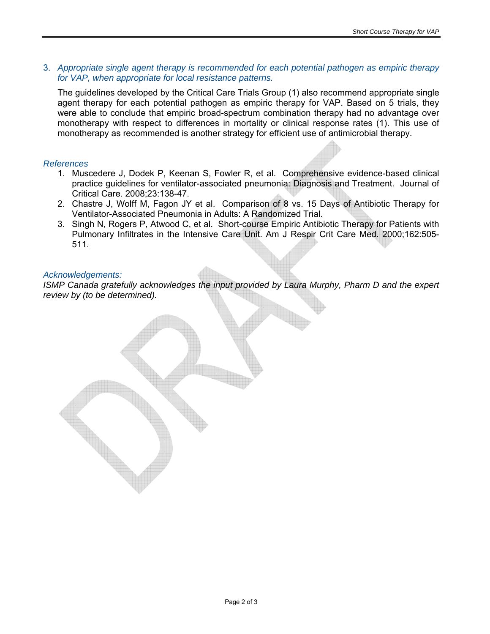3. *Appropriate single agent therapy is recommended for each potential pathogen as empiric therapy for VAP, when appropriate for local resistance patterns.* 

The guidelines developed by the Critical Care Trials Group (1) also recommend appropriate single agent therapy for each potential pathogen as empiric therapy for VAP. Based on 5 trials, they were able to conclude that empiric broad-spectrum combination therapy had no advantage over monotherapy with respect to differences in mortality or clinical response rates (1). This use of monotherapy as recommended is another strategy for efficient use of antimicrobial therapy.

### *References*

- 1. Muscedere J, Dodek P, Keenan S, Fowler R, et al. Comprehensive evidence-based clinical practice guidelines for ventilator-associated pneumonia: Diagnosis and Treatment. Journal of Critical Care. 2008;23:138-47.
- 2. Chastre J, Wolff M, Fagon JY et al. Comparison of 8 vs. 15 Days of Antibiotic Therapy for Ventilator-Associated Pneumonia in Adults: A Randomized Trial.
- 3. Singh N, Rogers P, Atwood C, et al. Short-course Empiric Antibiotic Therapy for Patients with Pulmonary Infiltrates in the Intensive Care Unit. Am J Respir Crit Care Med. 2000;162:505- 511.

### *Acknowledgements:*

*ISMP* Canada gratefully acknowledges the input provided by Laura Murphy, Pharm D and the expert *review by (to be determined).*